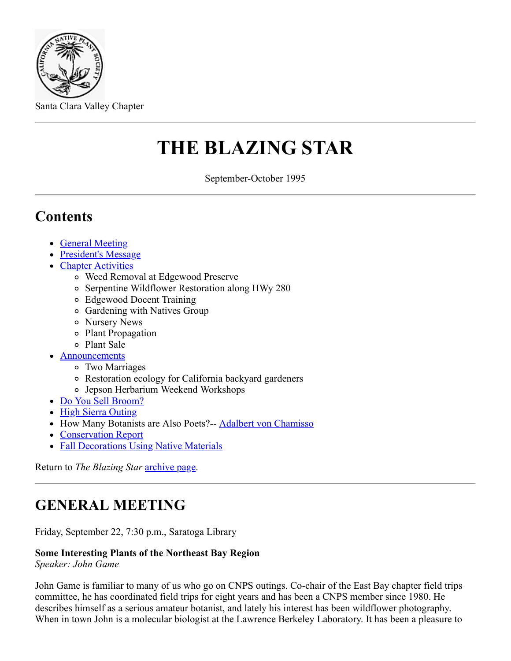

Santa Clara Valley Chapter

# **THE BLAZING STAR**

September-October 1995

## **Contents**

- [General Meeting](#page-0-0)
- [President's Message](#page-1-0)
- [Chapter Activities](#page-1-1)
	- Weed Removal at Edgewood Preserve
	- Serpentine Wildflower Restoration along HWy 280
	- Edgewood Docent Training
	- Gardening with Natives Group
	- Nursery News
	- Plant Propagation
	- Plant Sale
- [Announcements](#page-2-0)
	- Two Marriages
	- Restoration ecology for California backyard gardeners
	- Jepson Herbarium Weekend Workshops
- [Do You Sell Broom?](file:///G:/Vivian/Documents/broom.htm)
- [High Sierra Outing](#page-3-0)
- How Many Botanists are Also Poets?-- **[Adalbert von Chamisso](#page-3-1)**
- [Conservation Report](#page-4-0)
- [Fall Decorations Using Native Materials](#page-4-1)

Return to *The Blazing Star* [archive page.](file:///G:/Vivian/Documents/pastcon.htm)

# <span id="page-0-0"></span>**GENERAL MEETING**

Friday, September 22, 7:30 p.m., Saratoga Library

#### **Some Interesting Plants of the Northeast Bay Region**

*Speaker: John Game*

John Game is familiar to many of us who go on CNPS outings. Co-chair of the East Bay chapter field trips committee, he has coordinated field trips for eight years and has been a CNPS member since 1980. He describes himself as a serious amateur botanist, and lately his interest has been wildflower photography. When in town John is a molecular biologist at the Lawrence Berkeley Laboratory. It has been a pleasure to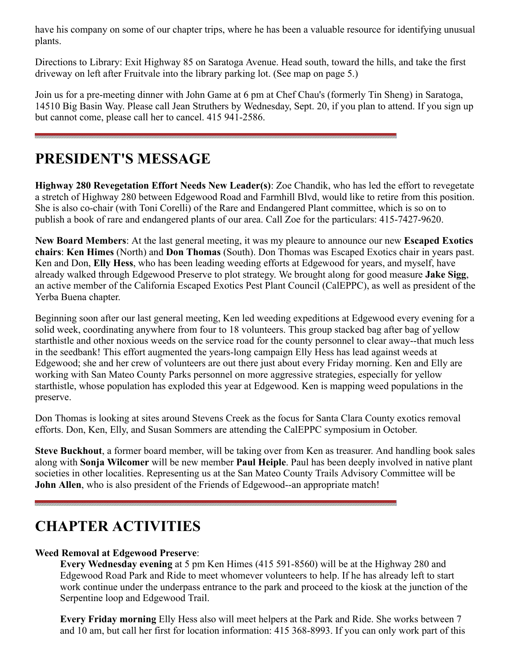have his company on some of our chapter trips, where he has been a valuable resource for identifying unusual plants.

Directions to Library: Exit Highway 85 on Saratoga Avenue. Head south, toward the hills, and take the first driveway on left after Fruitvale into the library parking lot. (See map on page 5.)

Join us for a pre-meeting dinner with John Game at 6 pm at Chef Chau's (formerly Tin Sheng) in Saratoga, 14510 Big Basin Way. Please call Jean Struthers by Wednesday, Sept. 20, if you plan to attend. If you sign up but cannot come, please call her to cancel. 415 941-2586.

# <span id="page-1-0"></span>**PRESIDENT'S MESSAGE**

**Highway 280 Revegetation Effort Needs New Leader(s)**: Zoe Chandik, who has led the effort to revegetate a stretch of Highway 280 between Edgewood Road and Farmhill Blvd, would like to retire from this position. She is also co-chair (with Toni Corelli) of the Rare and Endangered Plant committee, which is so on to publish a book of rare and endangered plants of our area. Call Zoe for the particulars: 415-7427-9620.

**New Board Members**: At the last general meeting, it was my pleaure to announce our new **Escaped Exotics chairs**: **Ken Himes** (North) and **Don Thomas** (South). Don Thomas was Escaped Exotics chair in years past. Ken and Don, **Elly Hess**, who has been leading weeding efforts at Edgewood for years, and myself, have already walked through Edgewood Preserve to plot strategy. We brought along for good measure **Jake Sigg**, an active member of the California Escaped Exotics Pest Plant Council (CalEPPC), as well as president of the Yerba Buena chapter.

Beginning soon after our last general meeting, Ken led weeding expeditions at Edgewood every evening for a solid week, coordinating anywhere from four to 18 volunteers. This group stacked bag after bag of yellow starthistle and other noxious weeds on the service road for the county personnel to clear away--that much less in the seedbank! This effort augmented the years-long campaign Elly Hess has lead against weeds at Edgewood; she and her crew of volunteers are out there just about every Friday morning. Ken and Elly are working with San Mateo County Parks personnel on more aggressive strategies, especially for yellow starthistle, whose population has exploded this year at Edgewood. Ken is mapping weed populations in the preserve.

Don Thomas is looking at sites around Stevens Creek as the focus for Santa Clara County exotics removal efforts. Don, Ken, Elly, and Susan Sommers are attending the CalEPPC symposium in October.

**Steve Buckhout**, a former board member, will be taking over from Ken as treasurer. And handling book sales along with **Sonja Wilcomer** will be new member **Paul Heiple**. Paul has been deeply involved in native plant societies in other localities. Representing us at the San Mateo County Trails Advisory Committee will be **John Allen**, who is also president of the Friends of Edgewood--an appropriate match!

# <span id="page-1-1"></span>**CHAPTER ACTIVITIES**

#### **Weed Removal at Edgewood Preserve**:

**Every Wednesday evening** at 5 pm Ken Himes (415 591-8560) will be at the Highway 280 and Edgewood Road Park and Ride to meet whomever volunteers to help. If he has already left to start work continue under the underpass entrance to the park and proceed to the kiosk at the junction of the Serpentine loop and Edgewood Trail.

**Every Friday morning** Elly Hess also will meet helpers at the Park and Ride. She works between 7 and 10 am, but call her first for location information: 415 368-8993. If you can only work part of this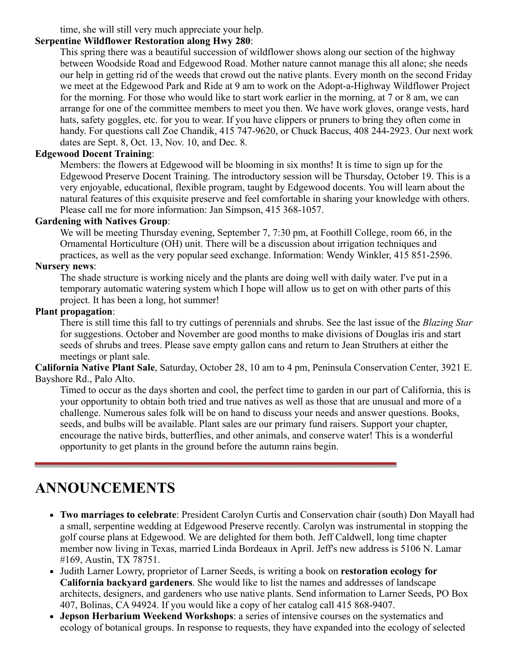time, she will still very much appreciate your help.

#### **Serpentine Wildflower Restoration along Hwy 280**:

This spring there was a beautiful succession of wildflower shows along our section of the highway between Woodside Road and Edgewood Road. Mother nature cannot manage this all alone; she needs our help in getting rid of the weeds that crowd out the native plants. Every month on the second Friday we meet at the Edgewood Park and Ride at 9 am to work on the Adopt-a-Highway Wildflower Project for the morning. For those who would like to start work earlier in the morning, at 7 or 8 am, we can arrange for one of the committee members to meet you then. We have work gloves, orange vests, hard hats, safety goggles, etc. for you to wear. If you have clippers or pruners to bring they often come in handy. For questions call Zoe Chandik, 415 747-9620, or Chuck Baccus, 408 244-2923. Our next work dates are Sept. 8, Oct. 13, Nov. 10, and Dec. 8.

#### **Edgewood Docent Training**:

Members: the flowers at Edgewood will be blooming in six months! It is time to sign up for the Edgewood Preserve Docent Training. The introductory session will be Thursday, October 19. This is a very enjoyable, educational, flexible program, taught by Edgewood docents. You will learn about the natural features of this exquisite preserve and feel comfortable in sharing your knowledge with others. Please call me for more information: Jan Simpson, 415 368-1057.

#### **Gardening with Natives Group**:

We will be meeting Thursday evening, September 7, 7:30 pm, at Foothill College, room 66, in the Ornamental Horticulture (OH) unit. There will be a discussion about irrigation techniques and practices, as well as the very popular seed exchange. Information: Wendy Winkler, 415 851-2596.

#### **Nursery news**:

The shade structure is working nicely and the plants are doing well with daily water. I've put in a temporary automatic watering system which I hope will allow us to get on with other parts of this project. It has been a long, hot summer!

#### **Plant propagation**:

There is still time this fall to try cuttings of perennials and shrubs. See the last issue of the *Blazing Star* for suggestions. October and November are good months to make divisions of Douglas iris and start seeds of shrubs and trees. Please save empty gallon cans and return to Jean Struthers at either the meetings or plant sale.

#### **California Native Plant Sale**, Saturday, October 28, 10 am to 4 pm, Peninsula Conservation Center, 3921 E. Bayshore Rd., Palo Alto.

Timed to occur as the days shorten and cool, the perfect time to garden in our part of California, this is your opportunity to obtain both tried and true natives as well as those that are unusual and more of a challenge. Numerous sales folk will be on hand to discuss your needs and answer questions. Books, seeds, and bulbs will be available. Plant sales are our primary fund raisers. Support your chapter, encourage the native birds, butterflies, and other animals, and conserve water! This is a wonderful opportunity to get plants in the ground before the autumn rains begin.

# <span id="page-2-0"></span>**ANNOUNCEMENTS**

- **Two marriages to celebrate**: President Carolyn Curtis and Conservation chair (south) Don Mayall had a small, serpentine wedding at Edgewood Preserve recently. Carolyn was instrumental in stopping the golf course plans at Edgewood. We are delighted for them both. Jeff Caldwell, long time chapter member now living in Texas, married Linda Bordeaux in April. Jeff's new address is 5106 N. Lamar #169, Austin, TX 78751.
- Judith Larner Lowry, proprietor of Larner Seeds, is writing a book on **restoration ecology for California backyard gardeners**. She would like to list the names and addresses of landscape architects, designers, and gardeners who use native plants. Send information to Larner Seeds, PO Box 407, Bolinas, CA 94924. If you would like a copy of her catalog call 415 868-9407.
- **Jepson Herbarium Weekend Workshops**: a series of intensive courses on the systematics and ecology of botanical groups. In response to requests, they have expanded into the ecology of selected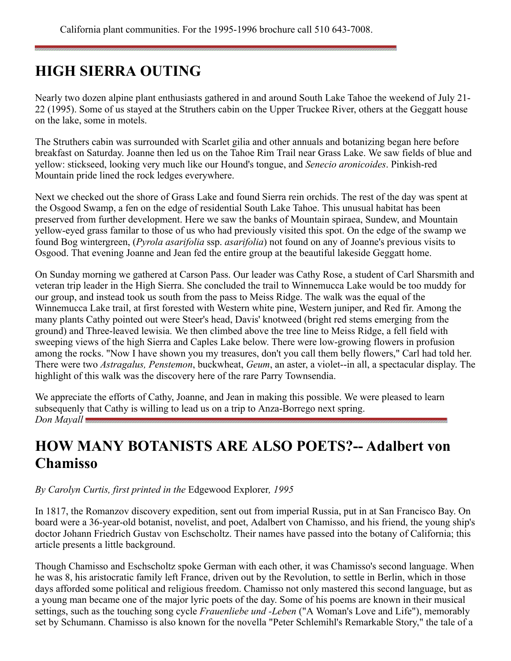# <span id="page-3-0"></span>**HIGH SIERRA OUTING**

Nearly two dozen alpine plant enthusiasts gathered in and around South Lake Tahoe the weekend of July 21- 22 (1995). Some of us stayed at the Struthers cabin on the Upper Truckee River, others at the Geggatt house on the lake, some in motels.

The Struthers cabin was surrounded with Scarlet gilia and other annuals and botanizing began here before breakfast on Saturday. Joanne then led us on the Tahoe Rim Trail near Grass Lake. We saw fields of blue and yellow: stickseed, looking very much like our Hound's tongue, and *Senecio aronicoides*. Pinkish-red Mountain pride lined the rock ledges everywhere.

Next we checked out the shore of Grass Lake and found Sierra rein orchids. The rest of the day was spent at the Osgood Swamp, a fen on the edge of residential South Lake Tahoe. This unusual habitat has been preserved from further development. Here we saw the banks of Mountain spiraea, Sundew, and Mountain yellow-eyed grass familar to those of us who had previously visited this spot. On the edge of the swamp we found Bog wintergreen, (*Pyrola asarifolia* ssp. *asarifolia*) not found on any of Joanne's previous visits to Osgood. That evening Joanne and Jean fed the entire group at the beautiful lakeside Geggatt home.

On Sunday morning we gathered at Carson Pass. Our leader was Cathy Rose, a student of Carl Sharsmith and veteran trip leader in the High Sierra. She concluded the trail to Winnemucca Lake would be too muddy for our group, and instead took us south from the pass to Meiss Ridge. The walk was the equal of the Winnemucca Lake trail, at first forested with Western white pine, Western juniper, and Red fir. Among the many plants Cathy pointed out were Steer's head, Davis' knotweed (bright red stems emerging from the ground) and Three-leaved lewisia. We then climbed above the tree line to Meiss Ridge, a fell field with sweeping views of the high Sierra and Caples Lake below. There were low-growing flowers in profusion among the rocks. "Now I have shown you my treasures, don't you call them belly flowers," Carl had told her. There were two *Astragalus, Penstemon*, buckwheat, *Geum*, an aster, a violet--in all, a spectacular display. The highlight of this walk was the discovery here of the rare Parry Townsendia.

We appreciate the efforts of Cathy, Joanne, and Jean in making this possible. We were pleased to learn subsequenly that Cathy is willing to lead us on a trip to Anza-Borrego next spring. *Don Mayall*

# <span id="page-3-1"></span>**HOW MANY BOTANISTS ARE ALSO POETS?-- Adalbert von Chamisso**

#### *By Carolyn Curtis, first printed in the* Edgewood Explorer*, 1995*

In 1817, the Romanzov discovery expedition, sent out from imperial Russia, put in at San Francisco Bay. On board were a 36-year-old botanist, novelist, and poet, Adalbert von Chamisso, and his friend, the young ship's doctor Johann Friedrich Gustav von Eschscholtz. Their names have passed into the botany of California; this article presents a little background.

Though Chamisso and Eschscholtz spoke German with each other, it was Chamisso's second language. When he was 8, his aristocratic family left France, driven out by the Revolution, to settle in Berlin, which in those days afforded some political and religious freedom. Chamisso not only mastered this second language, but as a young man became one of the major lyric poets of the day. Some of his poems are known in their musical settings, such as the touching song cycle *Frauenliebe und -Leben* ("A Woman's Love and Life"), memorably set by Schumann. Chamisso is also known for the novella "Peter Schlemihl's Remarkable Story," the tale of a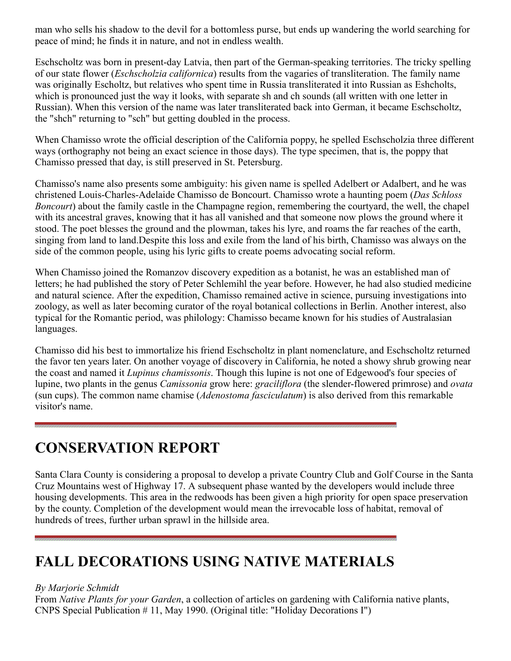man who sells his shadow to the devil for a bottomless purse, but ends up wandering the world searching for peace of mind; he finds it in nature, and not in endless wealth.

Eschscholtz was born in present-day Latvia, then part of the German-speaking territories. The tricky spelling of our state flower (*Eschscholzia californica*) results from the vagaries of transliteration. The family name was originally Escholtz, but relatives who spent time in Russia transliterated it into Russian as Eshcholts, which is pronounced just the way it looks, with separate sh and ch sounds (all written with one letter in Russian). When this version of the name was later transliterated back into German, it became Eschscholtz, the "shch" returning to "sch" but getting doubled in the process.

When Chamisso wrote the official description of the California poppy, he spelled Eschscholzia three different ways (orthography not being an exact science in those days). The type specimen, that is, the poppy that Chamisso pressed that day, is still preserved in St. Petersburg.

Chamisso's name also presents some ambiguity: his given name is spelled Adelbert or Adalbert, and he was christened Louis-Charles-Adelaide Chamisso de Boncourt. Chamisso wrote a haunting poem (*Das Schloss Boncourt*) about the family castle in the Champagne region, remembering the courtyard, the well, the chapel with its ancestral graves, knowing that it has all vanished and that someone now plows the ground where it stood. The poet blesses the ground and the plowman, takes his lyre, and roams the far reaches of the earth, singing from land to land.Despite this loss and exile from the land of his birth, Chamisso was always on the side of the common people, using his lyric gifts to create poems advocating social reform.

When Chamisso joined the Romanzov discovery expedition as a botanist, he was an established man of letters; he had published the story of Peter Schlemihl the year before. However, he had also studied medicine and natural science. After the expedition, Chamisso remained active in science, pursuing investigations into zoology, as well as later becoming curator of the royal botanical collections in Berlin. Another interest, also typical for the Romantic period, was philology: Chamisso became known for his studies of Australasian languages.

Chamisso did his best to immortalize his friend Eschscholtz in plant nomenclature, and Eschscholtz returned the favor ten years later. On another voyage of discovery in California, he noted a showy shrub growing near the coast and named it *Lupinus chamissonis*. Though this lupine is not one of Edgewood's four species of lupine, two plants in the genus *Camissonia* grow here: *graciliflora* (the slender-flowered primrose) and *ovata* (sun cups). The common name chamise (*Adenostoma fasciculatum*) is also derived from this remarkable visitor's name.

## <span id="page-4-0"></span>**CONSERVATION REPORT**

Santa Clara County is considering a proposal to develop a private Country Club and Golf Course in the Santa Cruz Mountains west of Highway 17. A subsequent phase wanted by the developers would include three housing developments. This area in the redwoods has been given a high priority for open space preservation by the county. Completion of the development would mean the irrevocable loss of habitat, removal of hundreds of trees, further urban sprawl in the hillside area.

# <span id="page-4-1"></span>**FALL DECORATIONS USING NATIVE MATERIALS**

#### *By Marjorie Schmidt*

From *Native Plants for your Garden*, a collection of articles on gardening with California native plants, CNPS Special Publication # 11, May 1990. (Original title: "Holiday Decorations I")